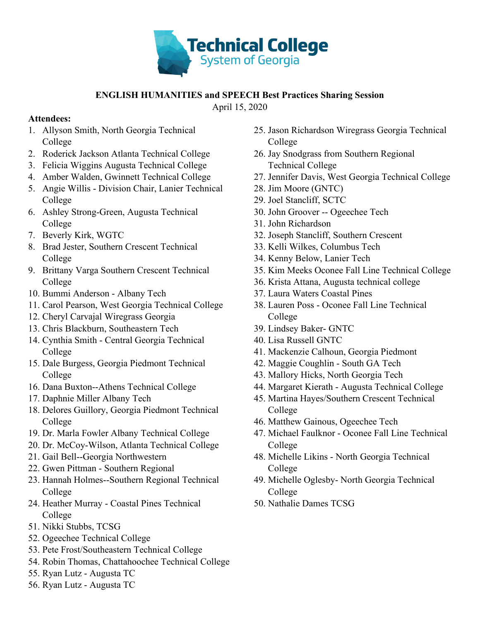

## **ENGLISH HUMANITIES and SPEECH Best Practices Sharing Session**

April 15, 2020

## **Attendees:**

- 1. Allyson Smith, North Georgia Technical College
- 2. Roderick Jackson Atlanta Technical College
- 3. Felicia Wiggins Augusta Technical College
- 4. Amber Walden, Gwinnett Technical College
- 5. Angie Willis Division Chair, Lanier Technical College
- 6. Ashley Strong-Green, Augusta Technical College
- 7. Beverly Kirk, WGTC
- 8. Brad Jester, Southern Crescent Technical College
- 9. Brittany Varga Southern Crescent Technical College
- 10. Bummi Anderson Albany Tech
- 11. Carol Pearson, West Georgia Technical College
- 12. Cheryl Carvajal Wiregrass Georgia
- 13. Chris Blackburn, Southeastern Tech
- 14. Cynthia Smith Central Georgia Technical College
- 15. Dale Burgess, Georgia Piedmont Technical College
- 16. Dana Buxton--Athens Technical College
- 17. Daphnie Miller Albany Tech
- 18. Delores Guillory, Georgia Piedmont Technical College
- 19. Dr. Marla Fowler Albany Technical College
- 20. Dr. McCoy-Wilson, Atlanta Technical College
- 21. Gail Bell--Georgia Northwestern
- 22. Gwen Pittman Southern Regional
- 23. Hannah Holmes--Southern Regional Technical College
- 24. Heather Murray Coastal Pines Technical College
- 51. Nikki Stubbs, TCSG
- 52. Ogeechee Technical College
- 53. Pete Frost/Southeastern Technical College
- 54. Robin Thomas, Chattahoochee Technical College
- 55. Ryan Lutz Augusta TC
- 56. Ryan Lutz Augusta TC
- 25. Jason Richardson Wiregrass Georgia Technical College
- 26. Jay Snodgrass from Southern Regional Technical College
- 27. Jennifer Davis, West Georgia Technical College
- 28. Jim Moore (GNTC)
- 29. Joel Stancliff, SCTC
- 30. John Groover -- Ogeechee Tech
- 31. John Richardson
- 32. Joseph Stancliff, Southern Crescent
- 33. Kelli Wilkes, Columbus Tech
- 34. Kenny Below, Lanier Tech
- 35. Kim Meeks Oconee Fall Line Technical College
- 36. Krista Attana, Augusta technical college
- 37. Laura Waters Coastal Pines
- 38. Lauren Poss Oconee Fall Line Technical College
- 39. Lindsey Baker- GNTC
- 40. Lisa Russell GNTC
- 41. Mackenzie Calhoun, Georgia Piedmont
- 42. Maggie Coughlin South GA Tech
- 43. Mallory Hicks, North Georgia Tech
- 44. Margaret Kierath Augusta Technical College
- 45. Martina Hayes/Southern Crescent Technical College
- 46. Matthew Gainous, Ogeechee Tech
- 47. Michael Faulknor Oconee Fall Line Technical College
- 48. Michelle Likins North Georgia Technical College
- 49. Michelle Oglesby- North Georgia Technical College
- 50. Nathalie Dames TCSG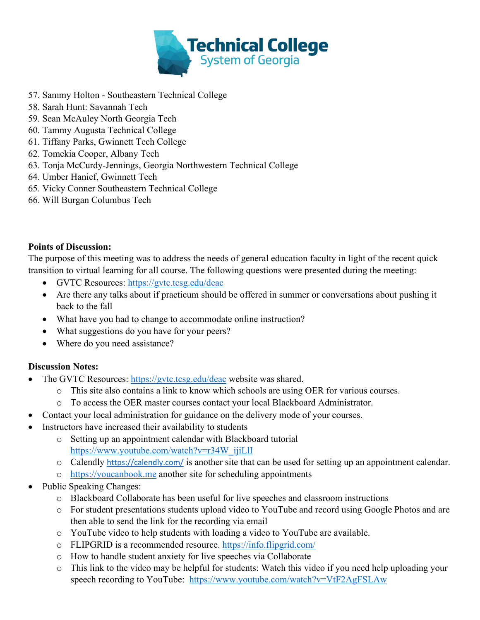

- 57. Sammy Holton Southeastern Technical College
- 58. Sarah Hunt: Savannah Tech
- 59. Sean McAuley North Georgia Tech
- 60. Tammy Augusta Technical College
- 61. Tiffany Parks, Gwinnett Tech College
- 62. Tomekia Cooper, Albany Tech
- 63. Tonja McCurdy-Jennings, Georgia Northwestern Technical College
- 64. Umber Hanief, Gwinnett Tech
- 65. Vicky Conner Southeastern Technical College
- 66. Will Burgan Columbus Tech

## **Points of Discussion:**

The purpose of this meeting was to address the needs of general education faculty in light of the recent quick transition to virtual learning for all course. The following questions were presented during the meeting:

- GVTC Resources:<https://gvtc.tcsg.edu/deac>
- Are there any talks about if practicum should be offered in summer or conversations about pushing it back to the fall
- What have you had to change to accommodate online instruction?
- What suggestions do you have for your peers?
- Where do you need assistance?

## **Discussion Notes:**

- The GVTC Resources:<https://gvtc.tcsg.edu/deac> website was shared.
	- o This site also contains a link to know which schools are using OER for various courses.
	- o To access the OER master courses contact your local Blackboard Administrator.
- Contact your local administration for guidance on the delivery mode of your courses.
- Instructors have increased their availability to students
	- o Setting up an appointment calendar with Blackboard tutorial [https://www.youtube.com/watch?v=r34W\\_ijiLlI](https://nam04.safelinks.protection.outlook.com/?url=https%3A%2F%2Fwww.youtube.com%2Fwatch%3Fv%3Dr34W_ijiLlI&data=02%7C01%7CNDames%40tcsg.edu%7C2eed6bdb2f864371bbad08d7dd4a76e2%7Cbda911050729491594d7ec5b3c37c90f%7C0%7C0%7C637221184224596835&sdata=7AKXtTde6Ij1KaL5JexNpbX9s09JXxOJSnOjH6a4OL4%3D&reserved=0)
	- o Calendly <https://calendly.com/> is another site that can be used for setting up an appointment calendar.
		- o [https://youcanbook.me](https://youcanbook.me/) another site for scheduling appointments
- Public Speaking Changes:
	- o Blackboard Collaborate has been useful for live speeches and classroom instructions
	- o For student presentations students upload video to YouTube and record using Google Photos and are then able to send the link for the recording via email
	- o YouTube video to help students with loading a video to YouTube are available.
	- o FLIPGRID is a recommended resource.<https://info.flipgrid.com/>
	- o How to handle student anxiety for live speeches via Collaborate
	- o This link to the video may be helpful for students: Watch this video if you need help uploading your speech recording to YouTube: <https://www.youtube.com/watch?v=VtF2AgFSLAw>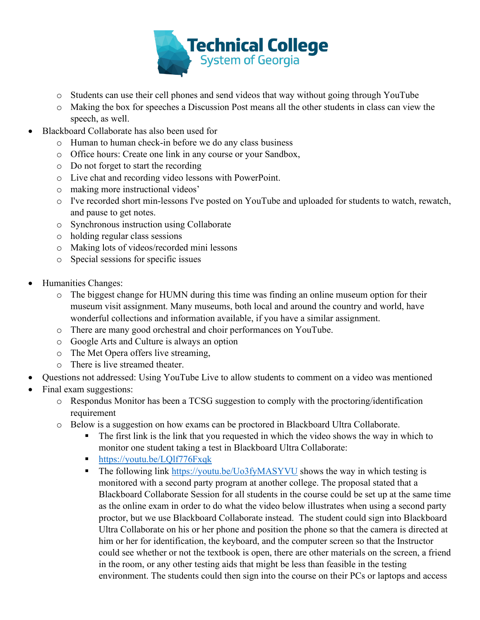

- o Students can use their cell phones and send videos that way without going through YouTube
- o Making the box for speeches a Discussion Post means all the other students in class can view the speech, as well.
- Blackboard Collaborate has also been used for
	- o Human to human check-in before we do any class business
	- o Office hours: Create one link in any course or your Sandbox,
	- o Do not forget to start the recording
	- o Live chat and recording video lessons with PowerPoint.
	- o making more instructional videos'
	- o I've recorded short min-lessons I've posted on YouTube and uploaded for students to watch, rewatch, and pause to get notes.
	- o Synchronous instruction using Collaborate
	- o holding regular class sessions
	- o Making lots of videos/recorded mini lessons
	- o Special sessions for specific issues
- Humanities Changes:
	- o The biggest change for HUMN during this time was finding an online museum option for their museum visit assignment. Many museums, both local and around the country and world, have wonderful collections and information available, if you have a similar assignment.
	- o There are many good orchestral and choir performances on YouTube.
	- o Google Arts and Culture is always an option
	- o The Met Opera offers live streaming,
	- o There is live streamed theater.
- Questions not addressed: Using YouTube Live to allow students to comment on a video was mentioned
- Final exam suggestions:
	- $\circ$  Respondus Monitor has been a TCSG suggestion to comply with the proctoring/identification requirement
	- o Below is a suggestion on how exams can be proctored in Blackboard Ultra Collaborate.
		- The first link is the link that you requested in which the video shows the way in which to monitor one student taking a test in Blackboard Ultra Collaborate:
		- <https://youtu.be/LQlf776Fxqk>
		- The following link<https://youtu.be/Uo3fyMASYVU> shows the way in which testing is monitored with a second party program at another college. The proposal stated that a Blackboard Collaborate Session for all students in the course could be set up at the same time as the online exam in order to do what the video below illustrates when using a second party proctor, but we use Blackboard Collaborate instead. The student could sign into Blackboard Ultra Collaborate on his or her phone and position the phone so that the camera is directed at him or her for identification, the keyboard, and the computer screen so that the Instructor could see whether or not the textbook is open, there are other materials on the screen, a friend in the room, or any other testing aids that might be less than feasible in the testing environment. The students could then sign into the course on their PCs or laptops and access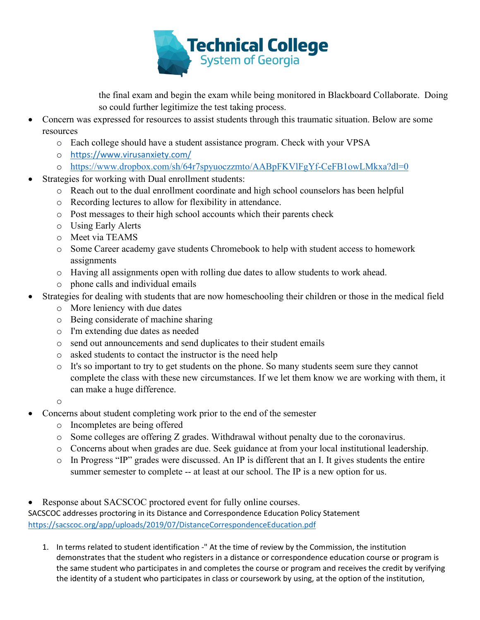

the final exam and begin the exam while being monitored in Blackboard Collaborate. Doing so could further legitimize the test taking process.

- Concern was expressed for resources to assist students through this traumatic situation. Below are some resources
	- o Each college should have a student assistance program. Check with your VPSA
	- o [https://www.virusanxiety.com/](https://nam04.safelinks.protection.outlook.com/?url=https%3A%2F%2Fwww.virusanxiety.com%2F&data=02%7C01%7CNDames%40tcsg.edu%7C4b98469c3d0e4f7c5d9a08d7e1930fb5%7Cbda911050729491594d7ec5b3c37c90f%7C0%7C0%7C637225894060996154&sdata=rGF4iezHWqRUVdvP1kN%2FpRatE40ui2koVd7VrnYhMRI%3D&reserved=0)
	- o <https://www.dropbox.com/sh/64r7spyuoczzmto/AABpFKVlFgYf-CeFB1owLMkxa?dl=0>
- Strategies for working with Dual enrollment students:
	- o Reach out to the dual enrollment coordinate and high school counselors has been helpful
	- o Recording lectures to allow for flexibility in attendance.
	- o Post messages to their high school accounts which their parents check
	- o Using Early Alerts
	- o Meet via TEAMS
	- o Some Career academy gave students Chromebook to help with student access to homework assignments
	- o Having all assignments open with rolling due dates to allow students to work ahead.
	- o phone calls and individual emails
- Strategies for dealing with students that are now homeschooling their children or those in the medical field
	- o More leniency with due dates
	- o Being considerate of machine sharing
	- o I'm extending due dates as needed
	- o send out announcements and send duplicates to their student emails
	- o asked students to contact the instructor is the need help
	- o It's so important to try to get students on the phone. So many students seem sure they cannot complete the class with these new circumstances. If we let them know we are working with them, it can make a huge difference.
	- o
- Concerns about student completing work prior to the end of the semester
	- o Incompletes are being offered
	- o Some colleges are offering Z grades. Withdrawal without penalty due to the coronavirus.
	- o Concerns about when grades are due. Seek guidance at from your local institutional leadership.
	- o In Progress "IP" grades were discussed. An IP is different that an I. It gives students the entire summer semester to complete -- at least at our school. The IP is a new option for us.
- Response about SACSCOC proctored event for fully online courses.

SACSCOC addresses proctoring in its Distance and Correspondence Education Policy Statement [https://sacscoc.org/app/uploads/2019/07/DistanceCorrespondenceEducation.pdf](https://nam04.safelinks.protection.outlook.com/?url=https%3A%2F%2Fsacscoc.org%2Fapp%2Fuploads%2F2019%2F07%2FDistanceCorrespondenceEducation.pdf&data=02%7C01%7CNDames%40tcsg.edu%7C1a22128841364942a98008d7e2097a37%7Cbda911050729491594d7ec5b3c37c90f%7C0%7C0%7C637226402644295581&sdata=qPrkglrJOn47U3QQ9yuKUbllUjL2Y56yC4Ka2c0ruZI%3D&reserved=0)

1. In terms related to student identification -" At the time of review by the Commission, the institution demonstrates that the student who registers in a distance or correspondence education course or program is the same student who participates in and completes the course or program and receives the credit by verifying the identity of a student who participates in class or coursework by using, at the option of the institution,